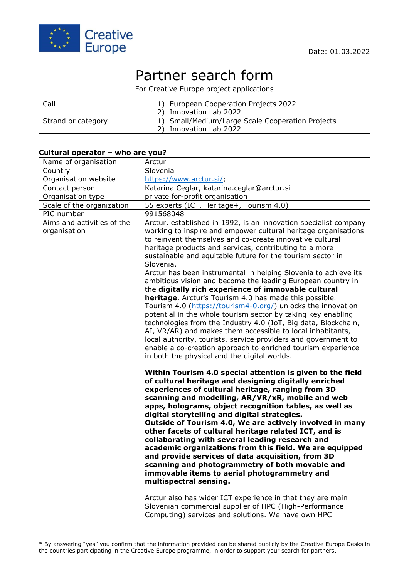

# Partner search form

For Creative Europe project applications

| Call               | 1) European Cooperation Projects 2022<br>2) Innovation Lab 2022            |
|--------------------|----------------------------------------------------------------------------|
| Strand or category | 1) Small/Medium/Large Scale Cooperation Projects<br>2) Innovation Lab 2022 |

### **Cultural operator – who are you?**

| Name of organisation                       | Arctur                                                                                                                                                                                                                                                                                                                                                                                                                                                                                                                                                                                                                                                                                                                                                                                                                                                                                                                                                                                                                                                    |
|--------------------------------------------|-----------------------------------------------------------------------------------------------------------------------------------------------------------------------------------------------------------------------------------------------------------------------------------------------------------------------------------------------------------------------------------------------------------------------------------------------------------------------------------------------------------------------------------------------------------------------------------------------------------------------------------------------------------------------------------------------------------------------------------------------------------------------------------------------------------------------------------------------------------------------------------------------------------------------------------------------------------------------------------------------------------------------------------------------------------|
| Country                                    | Slovenia                                                                                                                                                                                                                                                                                                                                                                                                                                                                                                                                                                                                                                                                                                                                                                                                                                                                                                                                                                                                                                                  |
| Organisation website                       | https://www.arctur.si/;                                                                                                                                                                                                                                                                                                                                                                                                                                                                                                                                                                                                                                                                                                                                                                                                                                                                                                                                                                                                                                   |
| Contact person                             | Katarina Ceglar, katarina.ceglar@arctur.si                                                                                                                                                                                                                                                                                                                                                                                                                                                                                                                                                                                                                                                                                                                                                                                                                                                                                                                                                                                                                |
| Organisation type                          | private for-profit organisation                                                                                                                                                                                                                                                                                                                                                                                                                                                                                                                                                                                                                                                                                                                                                                                                                                                                                                                                                                                                                           |
| Scale of the organization                  | 55 experts (ICT, Heritage+, Tourism 4.0)                                                                                                                                                                                                                                                                                                                                                                                                                                                                                                                                                                                                                                                                                                                                                                                                                                                                                                                                                                                                                  |
| PIC number                                 | 991568048                                                                                                                                                                                                                                                                                                                                                                                                                                                                                                                                                                                                                                                                                                                                                                                                                                                                                                                                                                                                                                                 |
| Aims and activities of the<br>organisation | Arctur, established in 1992, is an innovation specialist company<br>working to inspire and empower cultural heritage organisations<br>to reinvent themselves and co-create innovative cultural<br>heritage products and services, contributing to a more<br>sustainable and equitable future for the tourism sector in                                                                                                                                                                                                                                                                                                                                                                                                                                                                                                                                                                                                                                                                                                                                    |
|                                            | Slovenia.<br>Arctur has been instrumental in helping Slovenia to achieve its<br>ambitious vision and become the leading European country in<br>the digitally rich experience of immovable cultural<br>heritage. Arctur's Tourism 4.0 has made this possible.<br>Tourism 4.0 (https://tourism4-0.org/) unlocks the innovation<br>potential in the whole tourism sector by taking key enabling<br>technologies from the Industry 4.0 (IoT, Big data, Blockchain,<br>AI, VR/AR) and makes them accessible to local inhabitants,<br>local authority, tourists, service providers and government to                                                                                                                                                                                                                                                                                                                                                                                                                                                            |
|                                            | enable a co-creation approach to enriched tourism experience<br>in both the physical and the digital worlds.<br>Within Tourism 4.0 special attention is given to the field<br>of cultural heritage and designing digitally enriched<br>experiences of cultural heritage, ranging from 3D<br>scanning and modelling, AR/VR/xR, mobile and web<br>apps, holograms, object recognition tables, as well as<br>digital storytelling and digital strategies.<br>Outside of Tourism 4.0, We are actively involved in many<br>other facets of cultural heritage related ICT, and is<br>collaborating with several leading research and<br>academic organizations from this field. We are equipped<br>and provide services of data acquisition, from 3D<br>scanning and photogrammetry of both movable and<br>immovable items to aerial photogrammetry and<br>multispectral sensing.<br>Arctur also has wider ICT experience in that they are main<br>Slovenian commercial supplier of HPC (High-Performance<br>Computing) services and solutions. We have own HPC |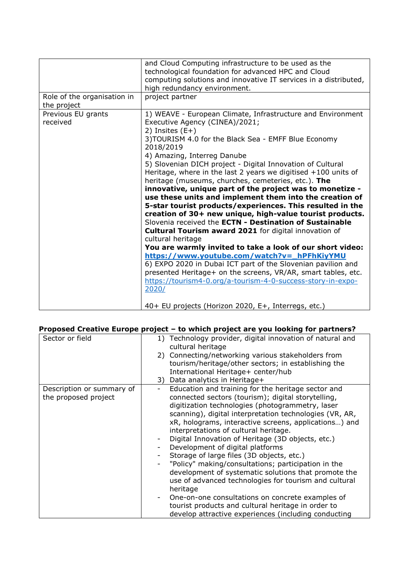|                                            | and Cloud Computing infrastructure to be used as the<br>technological foundation for advanced HPC and Cloud<br>computing solutions and innovative IT services in a distributed,<br>high redundancy environment.                                                                                                                                                                                                                                                                                                                                                                                                                                                                                                                                                                                                                                                                                                                                                                                                                                                                                                               |
|--------------------------------------------|-------------------------------------------------------------------------------------------------------------------------------------------------------------------------------------------------------------------------------------------------------------------------------------------------------------------------------------------------------------------------------------------------------------------------------------------------------------------------------------------------------------------------------------------------------------------------------------------------------------------------------------------------------------------------------------------------------------------------------------------------------------------------------------------------------------------------------------------------------------------------------------------------------------------------------------------------------------------------------------------------------------------------------------------------------------------------------------------------------------------------------|
| Role of the organisation in<br>the project | project partner                                                                                                                                                                                                                                                                                                                                                                                                                                                                                                                                                                                                                                                                                                                                                                                                                                                                                                                                                                                                                                                                                                               |
| Previous EU grants<br>received             | 1) WEAVE - European Climate, Infrastructure and Environment<br>Executive Agency (CINEA)/2021;<br>2) Insites $(E+)$<br>3) TOURISM 4.0 for the Black Sea - EMFF Blue Economy<br>2018/2019<br>4) Amazing, Interreg Danube<br>5) Slovenian DICH project - Digital Innovation of Cultural<br>Heritage, where in the last 2 years we digitised $+100$ units of<br>heritage (museums, churches, cemeteries, etc.). The<br>innovative, unique part of the project was to monetize -<br>use these units and implement them into the creation of<br>5-star tourist products/experiences. This resulted in the<br>creation of 30+ new unique, high-value tourist products.<br>Slovenia received the ECTN - Destination of Sustainable<br>Cultural Tourism award 2021 for digital innovation of<br>cultural heritage<br>You are warmly invited to take a look of our short video:<br>https://www.youtube.com/watch?v=_hPFhKiyYMU<br>6) EXPO 2020 in Dubai ICT part of the Slovenian pavilion and<br>presented Heritage+ on the screens, VR/AR, smart tables, etc.<br>https://tourism4-0.org/a-tourism-4-0-success-story-in-expo-<br>2020/ |
|                                            | 40+ EU projects (Horizon 2020, E+, Interregs, etc.)                                                                                                                                                                                                                                                                                                                                                                                                                                                                                                                                                                                                                                                                                                                                                                                                                                                                                                                                                                                                                                                                           |

# **Proposed Creative Europe project – to which project are you looking for partners?**

| Sector or field                                   | 1) Technology provider, digital innovation of natural and<br>cultural heritage                                                                                                                                                                                                                                                                                                                                                                                                                                                                                                                                                                                                                                                                                                                                        |
|---------------------------------------------------|-----------------------------------------------------------------------------------------------------------------------------------------------------------------------------------------------------------------------------------------------------------------------------------------------------------------------------------------------------------------------------------------------------------------------------------------------------------------------------------------------------------------------------------------------------------------------------------------------------------------------------------------------------------------------------------------------------------------------------------------------------------------------------------------------------------------------|
|                                                   | 2) Connecting/networking various stakeholders from<br>tourism/heritage/other sectors; in establishing the<br>International Heritage+ center/hub                                                                                                                                                                                                                                                                                                                                                                                                                                                                                                                                                                                                                                                                       |
|                                                   | 3) Data analytics in Heritage+                                                                                                                                                                                                                                                                                                                                                                                                                                                                                                                                                                                                                                                                                                                                                                                        |
| Description or summary of<br>the proposed project | Education and training for the heritage sector and<br>connected sectors (tourism); digital storytelling,<br>digitization technologies (photogrammetry, laser<br>scanning), digital interpretation technologies (VR, AR,<br>xR, holograms, interactive screens, applications) and<br>interpretations of cultural heritage.<br>Digital Innovation of Heritage (3D objects, etc.)<br>Development of digital platforms<br>Storage of large files (3D objects, etc.)<br>"Policy" making/consultations; participation in the<br>development of systematic solutions that promote the<br>use of advanced technologies for tourism and cultural<br>heritage<br>One-on-one consultations on concrete examples of<br>tourist products and cultural heritage in order to<br>develop attractive experiences (including conducting |